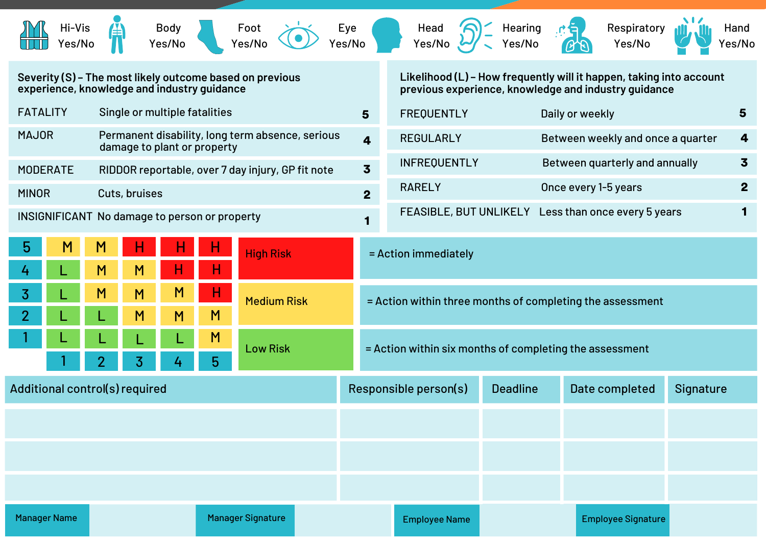| Hi-Vis<br>Yes/No                                                                                        |                                                                                 | <b>Body</b><br>Yes/No |        | Foot<br>Yes/No           |                                                                            | Eye<br>Yes/No |                                                                                                                             |                                                           | Head<br>Yes/No       |  | Hearing<br>'es/No |                                                     |                         | Respiratory<br>Yes/No     |              | Hand<br>Yes/No |
|---------------------------------------------------------------------------------------------------------|---------------------------------------------------------------------------------|-----------------------|--------|--------------------------|----------------------------------------------------------------------------|---------------|-----------------------------------------------------------------------------------------------------------------------------|-----------------------------------------------------------|----------------------|--|-------------------|-----------------------------------------------------|-------------------------|---------------------------|--------------|----------------|
| Severity (S) - The most likely outcome based on previous<br>experience, knowledge and industry guidance |                                                                                 |                       |        |                          |                                                                            |               | Likelihood (L) - How frequently will it happen, taking into account<br>previous experience, knowledge and industry guidance |                                                           |                      |  |                   |                                                     |                         |                           |              |                |
| <b>FATALITY</b>                                                                                         | Single or multiple fatalities                                                   |                       |        |                          |                                                                            |               | $5\phantom{1}$                                                                                                              | <b>FREQUENTLY</b><br>Daily or weekly                      |                      |  |                   |                                                     |                         |                           | 5            |                |
| <b>MAJOR</b>                                                                                            | Permanent disability, long term absence, serious<br>damage to plant or property |                       |        |                          |                                                                            |               | <b>REGULARLY</b><br>Between weekly and once a quarter<br>$\overline{\mathbf{4}}$                                            |                                                           |                      |  |                   |                                                     |                         | 4                         |              |                |
| RIDDOR reportable, over 7 day injury, GP fit note<br><b>MODERATE</b>                                    |                                                                                 |                       |        |                          |                                                                            |               | $\overline{\mathbf{3}}$                                                                                                     | <b>INFREQUENTLY</b><br>Between quarterly and annually     |                      |  |                   |                                                     | $\overline{\mathbf{3}}$ |                           |              |                |
| <b>MINOR</b>                                                                                            | Cuts, bruises                                                                   |                       |        |                          |                                                                            |               | $\overline{2}$                                                                                                              | Once every 1-5 years<br><b>RARELY</b>                     |                      |  |                   |                                                     |                         |                           | $\mathbf{2}$ |                |
| INSIGNIFICANT No damage to person or property                                                           |                                                                                 |                       |        |                          |                                                                            |               |                                                                                                                             |                                                           |                      |  |                   | FEASIBLE, BUT UNLIKELY Less than once every 5 years |                         |                           |              |                |
| 5                                                                                                       | M<br>M                                                                          | н                     | Н      | <b>High Risk</b>         |                                                                            |               |                                                                                                                             | = Action immediately                                      |                      |  |                   |                                                     |                         |                           |              |                |
| 3                                                                                                       | M<br>M<br>M                                                                     | M<br>M                | н<br>M | <b>Medium Risk</b>       |                                                                            |               |                                                                                                                             | = Action within three months of completing the assessment |                      |  |                   |                                                     |                         |                           |              |                |
|                                                                                                         |                                                                                 |                       | M<br>5 |                          | <b>Low Risk</b><br>= Action within six months of completing the assessment |               |                                                                                                                             |                                                           |                      |  |                   |                                                     |                         |                           |              |                |
| Additional control(s) required                                                                          |                                                                                 |                       |        |                          |                                                                            |               | Responsible person(s)                                                                                                       |                                                           | <b>Deadline</b>      |  |                   | Date completed                                      | Signature               |                           |              |                |
|                                                                                                         |                                                                                 |                       |        |                          |                                                                            |               |                                                                                                                             |                                                           |                      |  |                   |                                                     |                         |                           |              |                |
|                                                                                                         |                                                                                 |                       |        |                          |                                                                            |               |                                                                                                                             |                                                           |                      |  |                   |                                                     |                         |                           |              |                |
|                                                                                                         |                                                                                 |                       |        |                          |                                                                            |               |                                                                                                                             |                                                           |                      |  |                   |                                                     |                         |                           |              |                |
| <b>Manager Name</b>                                                                                     |                                                                                 |                       |        | <b>Manager Signature</b> |                                                                            |               |                                                                                                                             |                                                           | <b>Employee Name</b> |  |                   |                                                     |                         | <b>Employee Signature</b> |              |                |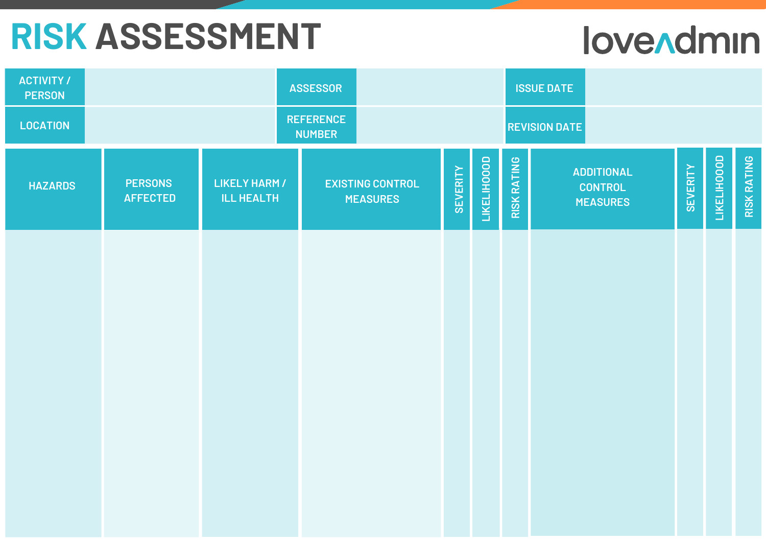## **RISK ASSESSMENT**

## **love Admin**

| <b>ACTIVITY /</b><br><b>PERSON</b> |                                   |                                           | <b>ASSESSOR</b>                            |                 |                                   | <b>ISSUE DATE</b>                                      |                                |                    |  |  |  |
|------------------------------------|-----------------------------------|-------------------------------------------|--------------------------------------------|-----------------|-----------------------------------|--------------------------------------------------------|--------------------------------|--------------------|--|--|--|
| <b>LOCATION</b>                    |                                   |                                           | <b>REFERENCE</b><br><b>NUMBER</b>          |                 |                                   | <b>REVISION DATE</b>                                   |                                |                    |  |  |  |
| <b>HAZARDS</b>                     | <b>PERSONS</b><br><b>AFFECTED</b> | <b>LIKELY HARM /</b><br><b>ILL HEALTH</b> | <b>EXISTING CONTROL</b><br><b>MEASURES</b> | <b>SEVERITY</b> | <b>LIKELIHOOOD</b><br>RISK RATING | <b>ADDITIONAL</b><br><b>CONTROL</b><br><b>MEASURES</b> | LIKELIHOOOD<br><b>SEVERITY</b> | <b>RISK RATING</b> |  |  |  |
|                                    |                                   |                                           |                                            |                 |                                   |                                                        |                                |                    |  |  |  |
|                                    |                                   |                                           |                                            |                 |                                   |                                                        |                                |                    |  |  |  |
|                                    |                                   |                                           |                                            |                 |                                   |                                                        |                                |                    |  |  |  |
|                                    |                                   |                                           |                                            |                 |                                   |                                                        |                                |                    |  |  |  |
|                                    |                                   |                                           |                                            |                 |                                   |                                                        |                                |                    |  |  |  |